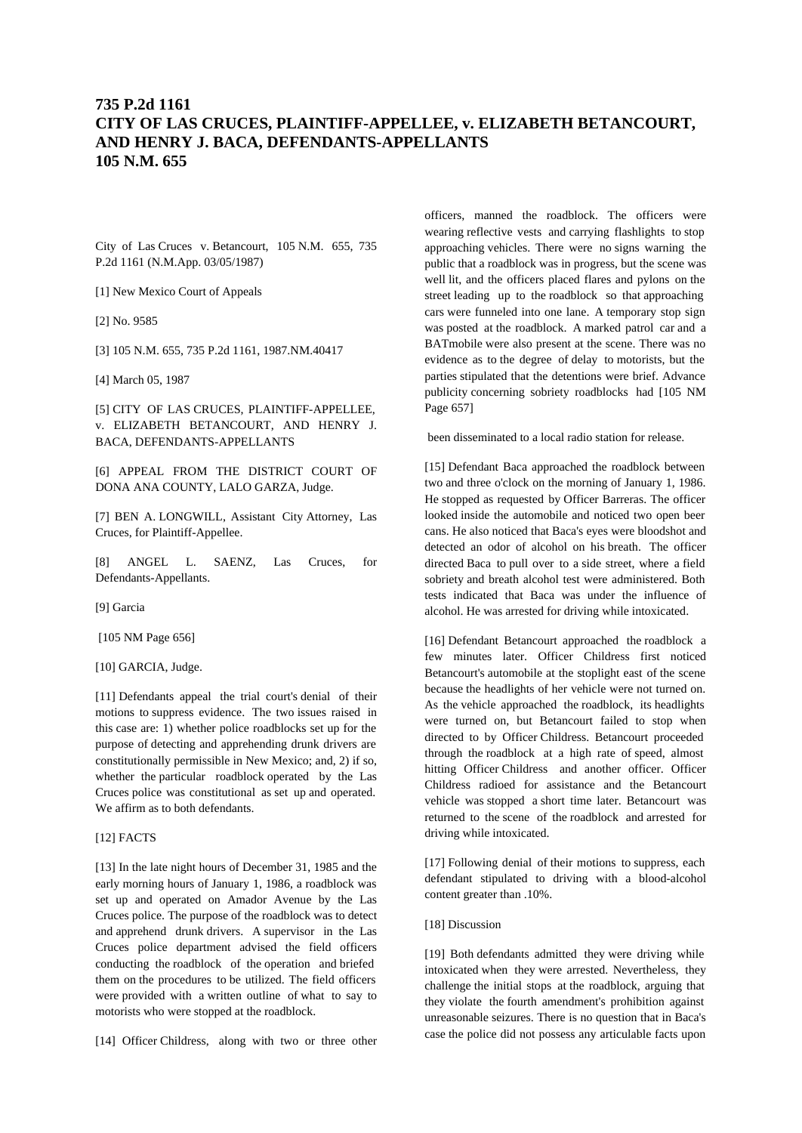# **735 P.2d 1161 CITY OF LAS CRUCES, PLAINTIFF-APPELLEE, v. ELIZABETH BETANCOURT, AND HENRY J. BACA, DEFENDANTS-APPELLANTS 105 N.M. 655**

City of Las Cruces v. Betancourt, 105 N.M. 655, 735 P.2d 1161 (N.M.App. 03/05/1987)

[1] New Mexico Court of Appeals

[2] No. 9585

[3] 105 N.M. 655, 735 P.2d 1161, 1987.NM.40417

[4] March 05, 1987

[5] CITY OF LAS CRUCES, PLAINTIFF-APPELLEE, v. ELIZABETH BETANCOURT, AND HENRY J. BACA, DEFENDANTS-APPELLANTS

[6] APPEAL FROM THE DISTRICT COURT OF DONA ANA COUNTY, LALO GARZA, Judge.

[7] BEN A. LONGWILL, Assistant City Attorney, Las Cruces, for Plaintiff-Appellee.

[8] ANGEL L. SAENZ, Las Cruces, for Defendants-Appellants.

[9] Garcia

[105 NM Page 656]

[10] GARCIA, Judge.

[11] Defendants appeal the trial court's denial of their motions to suppress evidence. The two issues raised in this case are: 1) whether police roadblocks set up for the purpose of detecting and apprehending drunk drivers are constitutionally permissible in New Mexico; and, 2) if so, whether the particular roadblock operated by the Las Cruces police was constitutional as set up and operated. We affirm as to both defendants.

# [12] FACTS

[13] In the late night hours of December 31, 1985 and the early morning hours of January 1, 1986, a roadblock was set up and operated on Amador Avenue by the Las Cruces police. The purpose of the roadblock was to detect and apprehend drunk drivers. A supervisor in the Las Cruces police department advised the field officers conducting the roadblock of the operation and briefed them on the procedures to be utilized. The field officers were provided with a written outline of what to say to motorists who were stopped at the roadblock.

[14] Officer Childress, along with two or three other

officers, manned the roadblock. The officers were wearing reflective vests and carrying flashlights to stop approaching vehicles. There were no signs warning the public that a roadblock was in progress, but the scene was well lit, and the officers placed flares and pylons on the street leading up to the roadblock so that approaching cars were funneled into one lane. A temporary stop sign was posted at the roadblock. A marked patrol car and a BATmobile were also present at the scene. There was no evidence as to the degree of delay to motorists, but the parties stipulated that the detentions were brief. Advance publicity concerning sobriety roadblocks had [105 NM Page 657]

been disseminated to a local radio station for release.

[15] Defendant Baca approached the roadblock between two and three o'clock on the morning of January 1, 1986. He stopped as requested by Officer Barreras. The officer looked inside the automobile and noticed two open beer cans. He also noticed that Baca's eyes were bloodshot and detected an odor of alcohol on his breath. The officer directed Baca to pull over to a side street, where a field sobriety and breath alcohol test were administered. Both tests indicated that Baca was under the influence of alcohol. He was arrested for driving while intoxicated.

[16] Defendant Betancourt approached the roadblock a few minutes later. Officer Childress first noticed Betancourt's automobile at the stoplight east of the scene because the headlights of her vehicle were not turned on. As the vehicle approached the roadblock, its headlights were turned on, but Betancourt failed to stop when directed to by Officer Childress. Betancourt proceeded through the roadblock at a high rate of speed, almost hitting Officer Childress and another officer. Officer Childress radioed for assistance and the Betancourt vehicle was stopped a short time later. Betancourt was returned to the scene of the roadblock and arrested for driving while intoxicated.

[17] Following denial of their motions to suppress, each defendant stipulated to driving with a blood-alcohol content greater than .10%.

### [18] Discussion

[19] Both defendants admitted they were driving while intoxicated when they were arrested. Nevertheless, they challenge the initial stops at the roadblock, arguing that they violate the fourth amendment's prohibition against unreasonable seizures. There is no question that in Baca's case the police did not possess any articulable facts upon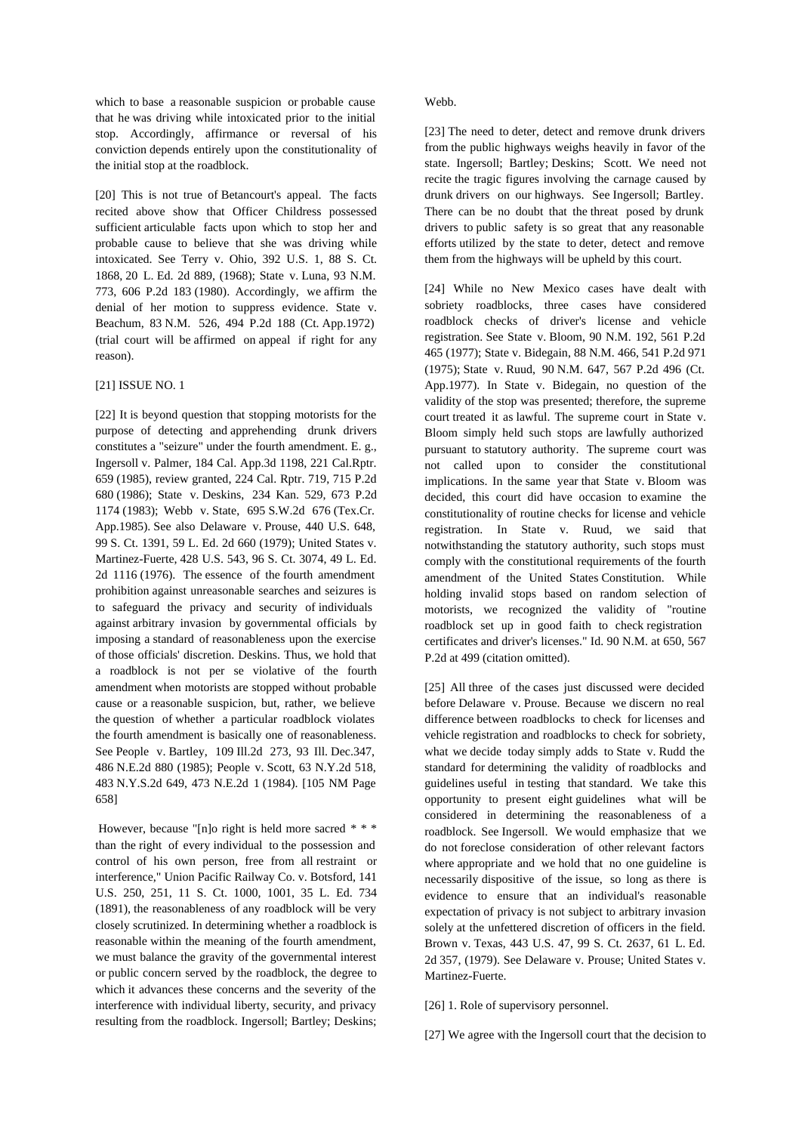which to base a reasonable suspicion or probable cause that he was driving while intoxicated prior to the initial stop. Accordingly, affirmance or reversal of his conviction depends entirely upon the constitutionality of the initial stop at the roadblock.

[20] This is not true of Betancourt's appeal. The facts recited above show that Officer Childress possessed sufficient articulable facts upon which to stop her and probable cause to believe that she was driving while intoxicated. See Terry v. Ohio, 392 U.S. 1, 88 S. Ct. 1868, 20 L. Ed. 2d 889, (1968); State v. Luna, 93 N.M. 773, 606 P.2d 183 (1980). Accordingly, we affirm the denial of her motion to suppress evidence. State v. Beachum, 83 N.M. 526, 494 P.2d 188 (Ct. App.1972) (trial court will be affirmed on appeal if right for any reason).

### [21] ISSUE NO. 1

[22] It is beyond question that stopping motorists for the purpose of detecting and apprehending drunk drivers constitutes a "seizure" under the fourth amendment. E. g., Ingersoll v. Palmer, 184 Cal. App.3d 1198, 221 Cal.Rptr. 659 (1985), review granted, 224 Cal. Rptr. 719, 715 P.2d 680 (1986); State v. Deskins, 234 Kan. 529, 673 P.2d 1174 (1983); Webb v. State, 695 S.W.2d 676 (Tex.Cr. App.1985). See also Delaware v. Prouse, 440 U.S. 648, 99 S. Ct. 1391, 59 L. Ed. 2d 660 (1979); United States v. Martinez-Fuerte, 428 U.S. 543, 96 S. Ct. 3074, 49 L. Ed. 2d 1116 (1976). The essence of the fourth amendment prohibition against unreasonable searches and seizures is to safeguard the privacy and security of individuals against arbitrary invasion by governmental officials by imposing a standard of reasonableness upon the exercise of those officials' discretion. Deskins. Thus, we hold that a roadblock is not per se violative of the fourth amendment when motorists are stopped without probable cause or a reasonable suspicion, but, rather, we believe the question of whether a particular roadblock violates the fourth amendment is basically one of reasonableness. See People v. Bartley, 109 Ill.2d 273, 93 Ill. Dec.347, 486 N.E.2d 880 (1985); People v. Scott, 63 N.Y.2d 518, 483 N.Y.S.2d 649, 473 N.E.2d 1 (1984). [105 NM Page 658]

 However, because "[n]o right is held more sacred \* \* \* than the right of every individual to the possession and control of his own person, free from all restraint or interference," Union Pacific Railway Co. v. Botsford, 141 U.S. 250, 251, 11 S. Ct. 1000, 1001, 35 L. Ed. 734 (1891), the reasonableness of any roadblock will be very closely scrutinized. In determining whether a roadblock is reasonable within the meaning of the fourth amendment, we must balance the gravity of the governmental interest or public concern served by the roadblock, the degree to which it advances these concerns and the severity of the interference with individual liberty, security, and privacy resulting from the roadblock. Ingersoll; Bartley; Deskins;

### Webb.

[23] The need to deter, detect and remove drunk drivers from the public highways weighs heavily in favor of the state. Ingersoll; Bartley; Deskins; Scott. We need not recite the tragic figures involving the carnage caused by drunk drivers on our highways. See Ingersoll; Bartley. There can be no doubt that the threat posed by drunk drivers to public safety is so great that any reasonable efforts utilized by the state to deter, detect and remove them from the highways will be upheld by this court.

[24] While no New Mexico cases have dealt with sobriety roadblocks, three cases have considered roadblock checks of driver's license and vehicle registration. See State v. Bloom, 90 N.M. 192, 561 P.2d 465 (1977); State v. Bidegain, 88 N.M. 466, 541 P.2d 971 (1975); State v. Ruud, 90 N.M. 647, 567 P.2d 496 (Ct. App.1977). In State v. Bidegain, no question of the validity of the stop was presented; therefore, the supreme court treated it as lawful. The supreme court in State v. Bloom simply held such stops are lawfully authorized pursuant to statutory authority. The supreme court was not called upon to consider the constitutional implications. In the same year that State v. Bloom was decided, this court did have occasion to examine the constitutionality of routine checks for license and vehicle registration. In State v. Ruud, we said that notwithstanding the statutory authority, such stops must comply with the constitutional requirements of the fourth amendment of the United States Constitution. While holding invalid stops based on random selection of motorists, we recognized the validity of "routine roadblock set up in good faith to check registration certificates and driver's licenses." Id. 90 N.M. at 650, 567 P.2d at 499 (citation omitted).

[25] All three of the cases just discussed were decided before Delaware v. Prouse. Because we discern no real difference between roadblocks to check for licenses and vehicle registration and roadblocks to check for sobriety, what we decide today simply adds to State v. Rudd the standard for determining the validity of roadblocks and guidelines useful in testing that standard. We take this opportunity to present eight guidelines what will be considered in determining the reasonableness of a roadblock. See Ingersoll. We would emphasize that we do not foreclose consideration of other relevant factors where appropriate and we hold that no one guideline is necessarily dispositive of the issue, so long as there is evidence to ensure that an individual's reasonable expectation of privacy is not subject to arbitrary invasion solely at the unfettered discretion of officers in the field. Brown v. Texas, 443 U.S. 47, 99 S. Ct. 2637, 61 L. Ed. 2d 357, (1979). See Delaware v. Prouse; United States v. Martinez-Fuerte.

[26] 1. Role of supervisory personnel.

[27] We agree with the Ingersoll court that the decision to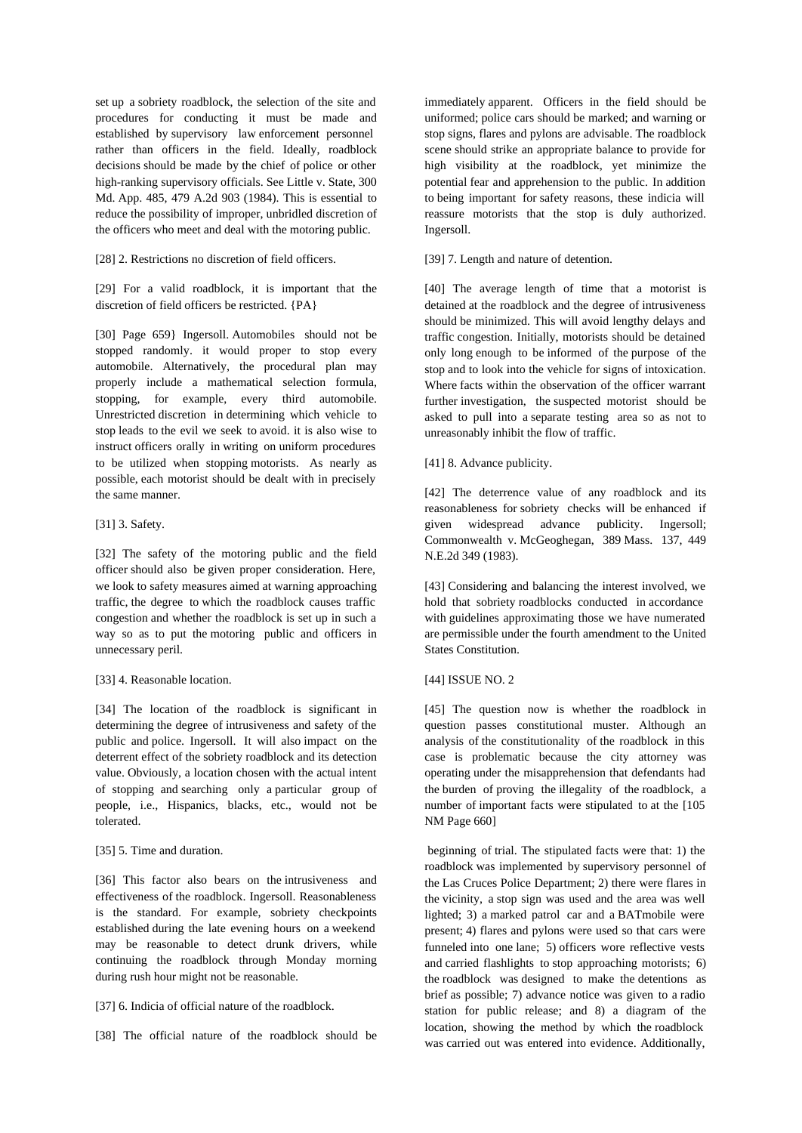set up a sobriety roadblock, the selection of the site and procedures for conducting it must be made and established by supervisory law enforcement personnel rather than officers in the field. Ideally, roadblock decisions should be made by the chief of police or other high-ranking supervisory officials. See Little v. State, 300 Md. App. 485, 479 A.2d 903 (1984). This is essential to reduce the possibility of improper, unbridled discretion of the officers who meet and deal with the motoring public.

[28] 2. Restrictions no discretion of field officers.

[29] For a valid roadblock, it is important that the discretion of field officers be restricted. {PA}

[30] Page 659} Ingersoll. Automobiles should not be stopped randomly. it would proper to stop every automobile. Alternatively, the procedural plan may properly include a mathematical selection formula, stopping, for example, every third automobile. Unrestricted discretion in determining which vehicle to stop leads to the evil we seek to avoid. it is also wise to instruct officers orally in writing on uniform procedures to be utilized when stopping motorists. As nearly as possible, each motorist should be dealt with in precisely the same manner.

### [31] 3. Safety.

[32] The safety of the motoring public and the field officer should also be given proper consideration. Here, we look to safety measures aimed at warning approaching traffic, the degree to which the roadblock causes traffic congestion and whether the roadblock is set up in such a way so as to put the motoring public and officers in unnecessary peril.

### [33] 4. Reasonable location.

[34] The location of the roadblock is significant in determining the degree of intrusiveness and safety of the public and police. Ingersoll. It will also impact on the deterrent effect of the sobriety roadblock and its detection value. Obviously, a location chosen with the actual intent of stopping and searching only a particular group of people, i.e., Hispanics, blacks, etc., would not be tolerated.

# [35] 5. Time and duration.

[36] This factor also bears on the intrusiveness and effectiveness of the roadblock. Ingersoll. Reasonableness is the standard. For example, sobriety checkpoints established during the late evening hours on a weekend may be reasonable to detect drunk drivers, while continuing the roadblock through Monday morning during rush hour might not be reasonable.

# [37] 6. Indicia of official nature of the roadblock.

[38] The official nature of the roadblock should be

immediately apparent. Officers in the field should be uniformed; police cars should be marked; and warning or stop signs, flares and pylons are advisable. The roadblock scene should strike an appropriate balance to provide for high visibility at the roadblock, yet minimize the potential fear and apprehension to the public. In addition to being important for safety reasons, these indicia will reassure motorists that the stop is duly authorized. Ingersoll.

### [39] 7. Length and nature of detention.

[40] The average length of time that a motorist is detained at the roadblock and the degree of intrusiveness should be minimized. This will avoid lengthy delays and traffic congestion. Initially, motorists should be detained only long enough to be informed of the purpose of the stop and to look into the vehicle for signs of intoxication. Where facts within the observation of the officer warrant further investigation, the suspected motorist should be asked to pull into a separate testing area so as not to unreasonably inhibit the flow of traffic.

### [41] 8. Advance publicity.

[42] The deterrence value of any roadblock and its reasonableness for sobriety checks will be enhanced if given widespread advance publicity. Ingersoll; Commonwealth v. McGeoghegan, 389 Mass. 137, 449 N.E.2d 349 (1983).

[43] Considering and balancing the interest involved, we hold that sobriety roadblocks conducted in accordance with guidelines approximating those we have numerated are permissible under the fourth amendment to the United States Constitution.

# [44] ISSUE NO. 2

[45] The question now is whether the roadblock in question passes constitutional muster. Although an analysis of the constitutionality of the roadblock in this case is problematic because the city attorney was operating under the misapprehension that defendants had the burden of proving the illegality of the roadblock, a number of important facts were stipulated to at the [105 NM Page 660]

 beginning of trial. The stipulated facts were that: 1) the roadblock was implemented by supervisory personnel of the Las Cruces Police Department; 2) there were flares in the vicinity, a stop sign was used and the area was well lighted; 3) a marked patrol car and a BATmobile were present; 4) flares and pylons were used so that cars were funneled into one lane; 5) officers wore reflective vests and carried flashlights to stop approaching motorists; 6) the roadblock was designed to make the detentions as brief as possible; 7) advance notice was given to a radio station for public release; and 8) a diagram of the location, showing the method by which the roadblock was carried out was entered into evidence. Additionally,